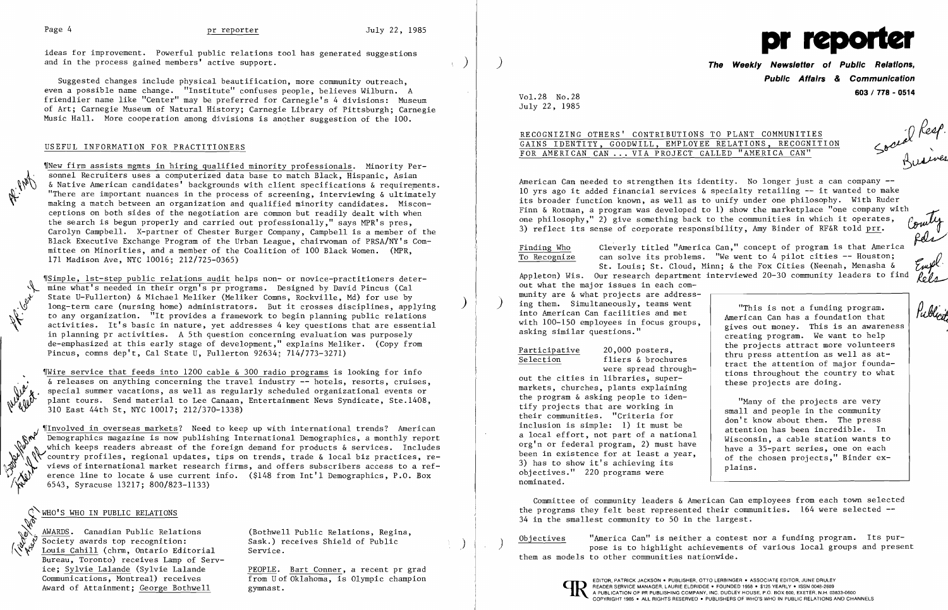ideas for improvement. Powerful public relations tool has generated suggestions and in the process gained members' active support.

Suggested changes include physical beautification, more community outreach, even a possible name change. "Institute" confuses people, believes Wilburn. A friendlier name like "Center" may be preferred for Carnegie's 4 divisions: Museum of Art; Carnegie Museum of Natural History; Carnegie Library of Pittsburgh; Carnegie Music Hall. More cooperation among divisions is another suggestion of the 100.

### USEFUL INFORMATION FOR PRACTITIONERS

,rNew firm assists mgmts in hiring qualified minority professionals. Minority Personnel Recruiters uses a computerized data base to match Black, Hispanic, Asian & Native American candidates' backgrounds with client specifications & requirements. "There are important nuances in the process of screening, interviewing & ultimately making a match between an organization and qualified minority candidates. Misconceptions on both sides of the negotiation are common but readily dealt with when the search is begun properly and carried out professionally," says MPR's pres, Carolyn Campbell. X-partner of Chester Burger Company, Campbell is a member of the Black Executive Exchange Program of the Urban League, chairwoman of PRSA/NY's Committee on Minorities, and a member of the Coalition of 100 Black Women. (MPR, 171 Madison Ave, NYC 10016; 212/725-0365)

"Simple, 1st-step public relations audit helps non- or novice-practitioners deter-<br>mine what's needed in their orgn's pr programs. Designed by David Pincus (Cal State U-Fullerton) & Michael Meliker (Meliker Comns, Rockville, Md) for use by long-term care (nursing home) administrators. But it crosses disciplines, applying<br>to any organization. "It provides a framework to begin planning public relations to any organization. "It provides a framework to begin planning public relations<br>activities. It's basic in nature, yet addresses 4 key questions that are essentia<br>in planning pr activities. A 5th question concerning evalua activities. It's basic in nature, yet addresses 4 key questions that are essential in planning pr activities. A 5th question concerning evaluation was purposely de-emphasized at this early stage of development," explains Meliker. (Copy from Pincus, comns dep't, Cal State U, Fullerton 92634; 714/773-3271)

Wire service that feeds into 1200 cable & 300 radio programs is looking for info & releases on anything concerning the travel industry **--** hotels, resorts, cruises, special summer vacations, as well as regularly scheduled organizational events or plant tours. Send material to Lee Canaan, Entertainment News Syndicate, Ste.1408, 310 East 44th St, NYC 10017; 212/370-1338)

*Involved in overseas markets?* Need to keep up with international trends? American Demographics magazine is now publishing International Demographics, a monthly report which keeps readers abreast of the foreign demand for products  $\&$  services. Includes country profiles, regional updates, tips on trends, trade & local biz practices, reviews of international market research firms, and offers subscribers access to a ref- $\sum_{i=1}^{\infty}$   $\mathbf{A}$   $\mathbf{b}$ <sup>1</sup> erence line to locate & use current info. (\$148 from Int'l Demographics, P.O. Box 6543, Syracuse 13217; 800/823-1133)

**The Weekly Newsletter of Public Relations Public Affairs & Communication 603/ 778 - 0514** Vol. 28 No. 28

Vol.28 No.28 July 22, 1985

# RECOGNIZING OTHERS' CONTRIBUTIONS TO PLANT COMMUNITIES GAINS IDENTITY, GOODWILL, EMPLOYEE RELATIONS, RECOGNITION FOR AMERICAN CAN ... VIA PROJECT GALLED "AMERICA

Participative 20,000 posters, Selection fliers & brochures were spread through-

## ~WHO'S WHO IN PUBLIC RELATIONS

Louis Cahill (chrm, Ontario Editorial Service. Bureau, Toronto) receives Lamp of Serv ice; Sylvie Lalande (Sylvie Lalande PEOPLE. Bart Conner, a recent pr grad Communications, Montreal) receives from U of Oklahoma, is Olympic champion

AWARDS. Canadian Public Relations (Bothwell Public Relations, Regina, Society awards top recognition: Sask.) receives Shield of Public

Objectives "America Can" is neither a contest nor a funding program. Its pur-<br>pose is to highlight achievements of various local groups and present them as models to other communities nationwide.





American Can needed to strengthen its identity. No longer just a can company **-** 10 yrs ago it added financial services & specialty retailing -- it wanted to make its broader function known, as well as to unify under one philosophy. With Ruder Finn & Rotman, a program was developed to 1) show the marketplace "one company with<br>one philosophy," 2) give something back to the communities in which it operates, Coulty<br>3) reflect its sense of corporate responsibility, one philosophy," 2) give something back to the communities in which it operates, 3) reflect its sense of corporate responsibility, Amy Binder of RF&R told prr.

Finding Who Cleverly titled "America Can," concept of program is that America<br>To Recognize can solve its problems. "We went to 4 pilot cities -- Houston; To Recognize can solve its problems. "We went to 4 pilot cities -- Houston;<br>St. Louis; St. Cloud, Minn; & the Fox Cities (Neenah, Menasha & Europe)<br>Appleton) Wis. Our research department interviewed 20-30 community leaders St. Louis; St. Cloud, Minn; & the Fox Cities (Neenah, Menasha

out what the major issues in each community are & what projects are address ing them. Simultaneously, teams went into American Can facilities and met with 100-150 employees in focus groups, asking similar questions."

out the cities in libraries, supermarkets, churches, plants explaining the program & asking people to identify projects that are working in their communities. "Criteria for inclusion is simple: 1) it must be a local effort, not part of a national org'n or federal program, 2) must have been in existence for at least a year, 3) has to show it's achieving its objectives." 220 programs were nominated.

"This is not a funding program. American Can has a foundation that gives out money. This is an awareness creating program. We want to help the projects attract more volunteers thru press attention as well as attract the attention of major foundations throughout the country to what these projects are doing.

"Many of the projects are very small and people in the community don't know about them. The press attention has been incredible. In Wisconsin, a cable station wants to have a 35-part series, one on each of the chosen projects," Binder explains.

Social Resp.<br>Social Resp.

Rels

Publicity

Committee of community leaders & American Can employees from each town selected the programs they felt best represented their communities. 164 were selected **-** 34 in the smallest community to 50 in the largest.